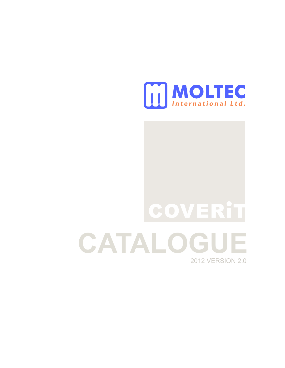

# **CATALOGUE** 2012 VERSION 2.0 **COVERIT**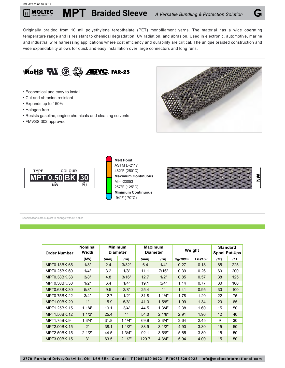Originally braided from 10 mil polyethylene terepthalate (PET) monofilament yarns. The material has a wide operating temperature range and is resistant to chemical degradation, UV radiation, and abrasion. Used in electronic, automotive, marine and industrial wire harnessing applications where cost efficiency and durability are critical. The unique braided construction and wide expandability allows for quick and easy installation over large connectors and long runs.



- Economical and easy to install
- Cut and abrasion resistant
- Expands up to 150%
- Halogen free
- Resists gasoline, engine chemicals and cleaning solvents
- FMVSS 302 approved









| <b>Order Number</b> | <b>Nominal</b><br>Width | <b>Minimum</b><br><b>Diameter</b> |       | <b>Maximum</b><br><b>Diameter</b> |        | Weight  |          | <b>Standard</b><br><b>Spool Put-Ups</b> |     |
|---------------------|-------------------------|-----------------------------------|-------|-----------------------------------|--------|---------|----------|-----------------------------------------|-----|
|                     | (NW)                    | (mm)                              | (in)  | (mm)                              | (in)   | Kg/100m | Lbs/100' | (M)                                     | (F) |
| MPT0.13BK.65        | 1/8"                    | 2.4                               | 3/32" | 6.4                               | 1/4"   | 0.27    | 0.18     | 65                                      | 225 |
| MPT0.25BK.60        | 1/4"                    | 3.2                               | 1/8"  | 11.1                              | 7/16"  | 0.39    | 0.26     | 60                                      | 200 |
| MPT0.38BK.38        | 3/8"                    | 4.8                               | 3/16" | 12.7                              | 1/2"   | 0.85    | 0.57     | 38                                      | 125 |
| MPT0.50BK.30        | 1/2"                    | 6.4                               | 1/4"  | 19.1                              | 3/4"   | 1.14    | 0.77     | 30                                      | 100 |
| MPT0.63BK.30        | 5/8"                    | 9.5                               | 3/8"  | 25.4                              | 1"     | 1.41    | 0.95     | 30                                      | 100 |
| MPT0.75BK.22        | 3/4"                    | 12.7                              | 1/2"  | 31.8                              | 11/4"  | 1.78    | 1.20     | 22                                      | 75  |
| MPT1.00BK.20        | 1"                      | 15.9                              | 5/8"  | 41.3                              | 15/8"  | 1.99    | 1.34     | 20                                      | 65  |
| MPT1.25BK.15        | 11/4"                   | 19.1                              | 3/4"  | 44.5                              | 1.3/4" | 2.38    | 1.60     | 15                                      | 50  |
| MPT1.50BK.12        | 11/2"                   | 25.4                              | 1"    | 54.0                              | 21/8"  | 2.91    | 1.96     | $12 \overline{ }$                       | 40  |
| MPT1.75BK.9         | 13/4"                   | 31.8                              | 11/4" | 69.9                              | 23/4"  | 3.64    | 2.45     | 9                                       | 30  |
| MPT2.00BK.15        | 2"                      | 38.1                              | 11/2" | 88.9                              | 31/2"  | 4.90    | 3.30     | 15                                      | 50  |
| MPT2.50BK.15        | 21/2"                   | 44.5                              | 13/4" | 92.1                              | 3.5/8" | 5.65    | 3.80     | 15                                      | 50  |
| MPT3.00BK.15        | 3"                      | 63.5                              | 21/2" | 120.7                             | 4 3/4" | 5.94    | 4.00     | 15                                      | 50  |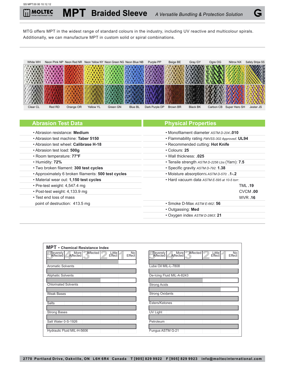MTG offers MPT in the widest range of standard colours in the industry, including UV reactive and multicolour spirals. Additionally, we can manufacture MPT in custom solid or spiral combinations.



| <b>Abrasion Test Data</b>                           | <b>Physical Properties</b>                     |
|-----------------------------------------------------|------------------------------------------------|
| • Abrasion resistance: Medium                       | • Monofilament diameter ASTM D-204: 010        |
| • Abrasion test machine: Taber 5150                 | • Flammability rating FMVSS-302 Approved: UL94 |
| • Abrasion test wheel: Calibrase H-18               | • Recommended cutting: Hot Knife               |
| • Abrasion test load: 500q                          | $\cdot$ Colours: 25                            |
| • Room temperature: 77°F                            | • Wall thickness: .025                         |
| • Humidity: 72%                                     | • Tensile strength ASTM D-2256 Lbs (Yarn): 7.5 |
| . Two broken filament: 300 test cycles              | • Specific gravity ASTM D-792: 1.38            |
| • Approximately 6 broken filaments: 500 test cycles | • Moisture absorption% ASTM D-570: .1-.2       |
| . Material wear out: 1,150 test cycles              | • Hard vacuum data ASTM E-595 at 10-5 torr:    |
| • Pre-test weight: $4,547.4$ mg                     | <b>TML.19</b>                                  |
| • Post-test weight: 4,133.9 mg                      | CVCM.00                                        |
| • Test end loss of mass                             | <b>WVR.16</b>                                  |
| point of destruction: 413.5 mg                      | $\cdot$ Smoke D-Max ASTM E-662: 56             |
|                                                     | • Outgassing: Med                              |
|                                                     | • Oxygen index ASTM D-2863: 21                 |

| <b>MPT</b> - Chemical Resistance Index                                                            |                                                                                          |
|---------------------------------------------------------------------------------------------------|------------------------------------------------------------------------------------------|
| Affected<br>Little<br>No<br>Severely<br><b>More</b><br>Affected<br>Affected I<br>Effect<br>Effect | Affected<br>More<br>Little<br>No<br>Severely<br>Affected<br>Effect<br>Affected<br>Effect |
| <b>Aromatic Solvents</b>                                                                          | Lube Oil MIL-L-7808                                                                      |
| <b>Aliphatic Solvents</b>                                                                         | De-Icing Fluid MIL-A-8243                                                                |
| <b>Chlorinated Solvents</b>                                                                       | <b>Strong Acids</b>                                                                      |
| <b>Weak Bases</b>                                                                                 | <b>Strong Oxidants</b>                                                                   |
| <b>Salts</b>                                                                                      | Esters/Ketones                                                                           |
| <b>Strong Bases</b>                                                                               | <b>UV Light</b>                                                                          |
| Salt Water 0-S-1926                                                                               | Petroleum                                                                                |
| Hydraulic Fluid MIL-H-5606                                                                        | Fungus ASTM G-21                                                                         |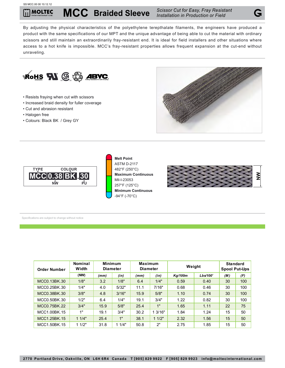**MCC Braided Sleeve** *Scissor Cut for Easy, Fray Resistant* 

*Installation in Production or Field*

By adjusting the physical characteristics of the polyethylene terepthalate filaments, the engineers have produced a product with the same specifications of our MPT and the unique advantage of being able to cut the material with ordinary scissors and still maintain an extraordinarily fray-resistant end. It is ideal for field installers and other situations where access to a hot knife is impossible. MCC's fray-resistant properties allows frequent expansion at the cut-end without unraveling.

- Resists fraying when cut with scissors
- Increased braid density for fuller coverage
- Cut and abrasion resistant
- Halogen free
- Colours: Black BK / Grey GY





**Melt Point** ASTM D-2117 482°F (250°C) **Maximum Continuous** Mil-I-23053 257°F (125°C) **Minimum Continuous** -94°F (-70°C)



| <b>Order Number</b> | <b>Nominal</b><br>Width | <b>Minimum</b> | <b>Diameter</b> | <b>Maximum</b><br><b>Diameter</b> |        | Weight<br><b>Kg/100m</b><br>Lbs/100' |      | <b>Standard</b><br><b>Spool Put-Ups</b> |     |
|---------------------|-------------------------|----------------|-----------------|-----------------------------------|--------|--------------------------------------|------|-----------------------------------------|-----|
|                     | (NW)                    | (mm)           | (in)            | (mm)                              | (in)   |                                      |      | (M)                                     | (F) |
| MCC0.13BK.30        | 1/8"                    | 3.2            | 1/8"            | 6.4                               | 1/4"   | 0.59                                 | 0.40 | 30                                      | 100 |
| MCC0.25BK.30        | 1/4"                    | 4.0            | 5/32"           | 11.1                              | 7/16"  | 0.68                                 | 0.46 | 30                                      | 100 |
| MCC0.38BK.30        | 3/8"                    | 4.8            | 3/16"           | 15.9                              | 5/8"   | 1.10                                 | 0.74 | 30                                      | 100 |
| MCC0.50BK.30        | 1/2"                    | 6.4            | 1/4"            | 19.1                              | 3/4"   | 1.22                                 | 0.82 | 30                                      | 100 |
| MCC0.75BK.22        | 3/4"                    | 15.9           | 5/8"            | 25.4                              | 1"     | 1.65                                 | 1.11 | 22                                      | 75  |
| MCC1.00BK.15        | 1"                      | 19.1           | 3/4"            | 30.2                              | 13/16" | 1.84                                 | 1.24 | 15                                      | 50  |
| MCC1.25BK.15        | 11/4"                   | 25.4           | 1"              | 38.1                              | 11/2"  | 2.32                                 | 1.56 | 15                                      | 50  |
| MCC1.50BK.15        | 11/2"                   | 31.8           | 11/4"           | 50.8                              | 2"     | 2.75                                 | 1.85 | 15                                      | 50  |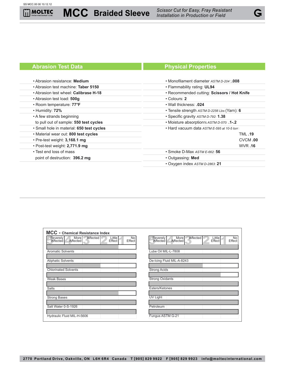# **Abrasion Test Data Physical Properties**

| • Abrasion resistance: Medium             | • Monofilament diameter ASTM D-204: 008      |  |  |  |  |
|-------------------------------------------|----------------------------------------------|--|--|--|--|
| • Abrasion test machine: Taber 5150       | • Flammability rating: UL94                  |  |  |  |  |
| • Abrasion test wheel: Calibrase H-18     | • Recommended cutting: Scissors / Hot Knife  |  |  |  |  |
| • Abrasion test load: 500g                | $\cdot$ Colours: 2                           |  |  |  |  |
| • Room temperature: 77°F                  | • Wall thickness: .024                       |  |  |  |  |
| • Humidity: 72%                           | • Tensile strength ASTM D-2256 Lbs (Yarn): 6 |  |  |  |  |
| • A few strands beginning                 | • Specific gravity ASTM D-792: 1.38          |  |  |  |  |
| to pull out of sample: 550 test cycles    | • Moisture absorption% ASTM D-570: .1-.2     |  |  |  |  |
| · Small hole in material: 650 test cycles | . Hard vacuum data ASTM E-595 at 10-5 torr:  |  |  |  |  |
| . Material wear out: 800 test cycles      | <b>TML.19</b>                                |  |  |  |  |
| $\cdot$ Pre-test weight: 3,168.1 mg       | CVCM.00                                      |  |  |  |  |
| • Post-test weight: 2,771.9 mg            | <b>WVR.16</b>                                |  |  |  |  |
| • Test end loss of mass                   | • Smoke D-Max ASTM E-662: 56                 |  |  |  |  |
| point of destruction: 396.2 mg            | • Outgassing: Med                            |  |  |  |  |
|                                           | • Oxygen index ASTM D-2863: 21               |  |  |  |  |

| <b>MCC</b> - Chemical Resistance Index<br>Affected<br>Little<br>Effect<br>No<br>Effect<br>More<br>Affected<br>Severely<br>Affected | Affected<br>More<br>Severely<br>Affected<br>Little<br>Effect<br>No |
|------------------------------------------------------------------------------------------------------------------------------------|--------------------------------------------------------------------|
|                                                                                                                                    | Affected<br>Effect                                                 |
| <b>Aromatic Solvents</b>                                                                                                           | Lube Oil MIL-L-7808                                                |
| <b>Aliphatic Solvents</b>                                                                                                          | De-Icing Fluid MIL-A-8243                                          |
| <b>Chlorinated Solvents</b>                                                                                                        | <b>Strong Acids</b>                                                |
| <b>Weak Bases</b>                                                                                                                  | <b>Strong Oxidants</b>                                             |
| <b>Salts</b>                                                                                                                       | Esters/Ketones                                                     |
| <b>Strong Bases</b>                                                                                                                | UV Light                                                           |
| Salt Water 0-S-1926                                                                                                                | Petroleum                                                          |
| Hydraulic Fluid MIL-H-5606                                                                                                         | Fungus ASTM G-21                                                   |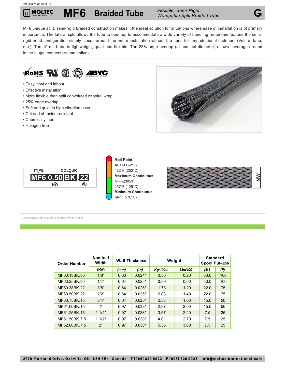# **MF6 Braided Tube** *Flexible, Semi-Rigid*

*Wrappable Split Braided Tube*

MF6 unique split, semi-rigid braided construction makes it the ideal solution for situations where ease of installation is of primary importance. The lateral split allows the tube to open up to accommodate a wide variety of bundling requirements, and the semirigid braid configuration simply closes around the entire installation without the need for any additional fasteners (Velcro, tape, etc.). The 10 mil braid is lightweight, quiet and flexible. The 25% edge overlap (at nominal diameter) allows coverage around inline plugs, connectors and splices.



- Easy, cost and labour
- Effective installation
- More flexible than split convoluted or spiral wrap
- 25% edge overlap
- Soft and quiet in high vibration uses
- Cut and abrasion resistant
- Chemically inert
- Halogen free





**Melt Point** ASTM D-2117 482°F (250°C) **Maximum Continuous** Mil-I-23053 257°F (125°C) **Minimum Continuous** -94°F (-70°C)



| <b>Order Number</b> | <b>Nominal</b><br>Width | <b>Wall Thickness</b> |        | Weight         | <b>Standard</b><br><b>Spool Put-Ups</b> |      |     |
|---------------------|-------------------------|-----------------------|--------|----------------|-----------------------------------------|------|-----|
|                     | (NW)                    | (mm)                  | (in)   | <b>Kg/100m</b> | Lbs/100'                                | (M)  | (F) |
| MF60.13BK.30        | 1/8"                    | 0.60                  | 0.024" | 0.30           | 0.20                                    | 30.0 | 100 |
| MF60.25BK.30        | 1/4"                    | 0.64                  | 0.025" | 0.89           | 0.60                                    | 30.0 | 100 |
| MF60.38BK.22        | 3/8"                    | 0.64                  | 0.025" | 1.78           | 1.20                                    | 22.0 | 75  |
| MF60.50BK.22        | 1/2"                    | 0.64                  | 0.025" | 2.08           | 1.40                                    | 22.0 | 75  |
| MF60.75BK.15        | 3/4"                    | 0.64                  | 0.025" | 2.38           | 1.60                                    | 15.0 | 50  |
| MF61.00BK.15        | 1"                      | 0.97                  | 0.038" | 2.97           | 2.00                                    | 15.0 | 50  |
| MF61.25BK.15        | 11/4"                   | 0.97                  | 0.038" | 3.57           | 2.40                                    | 7.5  | 25  |
| MF61.50BK.7.5       | 11/2"                   | 0.97                  | 0.038" | 4.01           | 2.70                                    | 7.5  | 25  |
| MF62.00BK.7.5       | 2"                      | 0.97                  | 0.038" | 5.35           | 3.60                                    | 7.5  | 25  |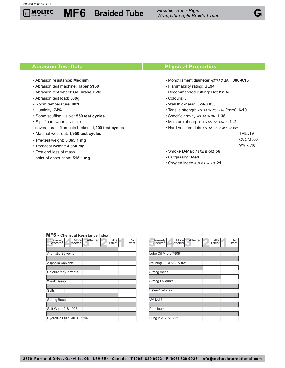**MF6 Braided Tube** *Flexible, Semi-Rigid* 

*Wrappable Split Braided Tube*

#### • Abrasion resistance: **Medium** • Abrasion test machine: **Taber 5150** • Abrasion test wheel: **Calibrase H-18** • Abrasion test load: **500g** • Room temperature: **80°F** • Humidity: **74%** • Some scuffing visible: **550 test cycles** • Significant wear is visible several braid filaments broken: **1,200 test cycles** • Material wear out: **1,950 test cycles** • Pre-test weight: **5,365.1 mg** • Post-test weight: **4,850 mg** • Test end loss of mass point of destruction: **515.1 mg** • Monofilament diameter *ASTM D-204*: **.008-0.15**  • Flammability rating: **UL94**  • Recommended cutting: **Hot Knife** • Colours: **3** • Wall thickness: **.024-0.038** • Tensile strength *ASTM D-2256 Lbs* (Yarn): **6-10** • Specific gravity *ASTM D-792*: **1.38** • Moisture absorption*% ASTM D-570*: **.1-.2** • Hard vacuum data *ASTM E-595 at 10-5 torr*: TML **.19** CVCM **.00** WVR **.16** • Smoke D-Max *ASTM E-662*: **56** • Outgassing: **Med** • Oxygen index *ASTM D-2863*: **21**

| MF6 - Chemical Resistance Index                                                          |                                                                                          |
|------------------------------------------------------------------------------------------|------------------------------------------------------------------------------------------|
| Affected<br>More<br>Affected<br>Little<br>Effect<br>No<br>Effect<br>Severely<br>Affected | Affected<br>More<br>Severely<br>Affected<br>Little<br>Effect<br>No<br>Affected<br>Effect |
| <b>Aromatic Solvents</b>                                                                 | Lube Oil MIL-L-7808                                                                      |
| <b>Aliphatic Solvents</b>                                                                | De-Icing Fluid MIL-A-8243                                                                |
| <b>Chlorinated Solvents</b>                                                              | <b>Strong Acids</b>                                                                      |
| <b>Weak Bases</b>                                                                        | <b>Strong Oxidants</b>                                                                   |
| <b>Salts</b>                                                                             | Esters/Ketones                                                                           |
| <b>Strong Bases</b>                                                                      | <b>UV Light</b>                                                                          |
| Salt Water 0-S-1926                                                                      | Petroleum                                                                                |
| Hydraulic Fluid MIL-H-5606                                                               | Fungus ASTM G-21                                                                         |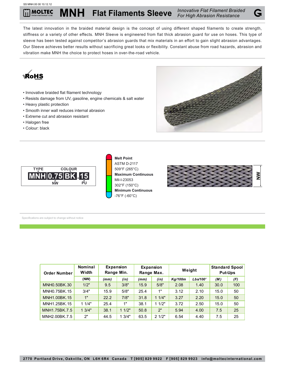The latest innovation in the braided material design is the concept of using different shaped filaments to create strength, stiffness or a variety of other effects. MNH Sleeve is engineered from flat thick abrasion guard for use on hoses. This type of sleeve has been tested against competitor's abrasion guards that mix materials in an effort to gain slight abrasion advantages. Our Sleeve achieves better results without sacrificing great looks or flexibility. Constant abuse from road hazards, abrasion and vibration make MNH the choice to protect hoses in over-the-road vehicle.



- Innovative braided flat filament technology
- Resists damage from UV, gasoline, engine chemicals & salt water
- Heavy plastic protection
- Smooth inner wall reduces internal abrasion
- Extreme cut and abrasion resistant
- Halogen free
- Colour: black





**Melt Point** ASTM D-2117 509°F (265°C) **Maximum Continuous** Mil-I-23053 302°F (150°C) **Minimum Continuous** -76°F (-60°C)



| <b>Order Number</b> | <b>Nominal</b><br>Width | Expansion<br>Range Min. |       |      | Expansion<br>Range Max. | Weight  |          | <b>Standard Spool</b><br><b>Put-Ups</b> |     |
|---------------------|-------------------------|-------------------------|-------|------|-------------------------|---------|----------|-----------------------------------------|-----|
|                     | (NW)                    | (mm)                    | (in)  | (mm) | (in)                    | Kg/100m | Lbs/100' | (M)                                     | (F) |
| MNH0.50BK.30        | 1/2"                    | 9.5                     | 3/8"  | 15.9 | 5/8"                    | 2.08    | 1.40     | 30.0                                    | 100 |
| MNH0.75BK.15        | 3/4"                    | 15.9                    | 5/8"  | 25.4 | 1"                      | 3.12    | 2.10     | 15.0                                    | 50  |
| MNH1.00BK.15        | 1"                      | 22.2                    | 7/8"  | 31.8 | 11/4"                   | 3.27    | 2.20     | 15.0                                    | 50  |
| MNH1.25BK.15        | 11/4"                   | 25.4                    | 1"    | 38.1 | 11/2"                   | 3.72    | 2.50     | 15.0                                    | 50  |
| MNH1.75BK.7.5       | 13/4"                   | 38.1                    | 11/2" | 50.8 | 2"                      | 5.94    | 4.00     | 7.5                                     | 25  |
| MNH2.00BK.7.5       | 2"                      | 44.5                    | 13/4" | 63.5 | 21/2"                   | 6.54    | 4.40     | 7.5                                     | 25  |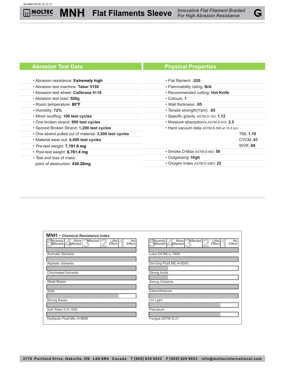$\overline{\mathbf{H}}$ 



| • Abrasion resistance: Extremely high                  | $\cdot$ Flat filament: .020                 |  |  |  |  |
|--------------------------------------------------------|---------------------------------------------|--|--|--|--|
| • Abrasion test machine: Taber 5150                    | • Flammability rating: N/A                  |  |  |  |  |
| • Abrasion test wheel: Calibrase H-18                  | · Recommended cutting: Hot Knife            |  |  |  |  |
| • Abrasion test load: 500g                             | $\cdot$ Colours: 1                          |  |  |  |  |
| • Room temperature: 80°F                               | • Wall thickness: .05                       |  |  |  |  |
| • Humidity: 72%                                        | • Tensile strength (Yam): .05               |  |  |  |  |
| . Minor scuffing: 100 test cycles                      | • Specific gravity ASTM D-792: 1.12         |  |  |  |  |
| • One broken strand: 900 test cycles                   | • Moisture absorption% ASTM D-570: 2.5      |  |  |  |  |
| • Second Broken Strand: 1,200 test cycles              | • Hard vacuum data ASTM E-595 at 10-5 torr. |  |  |  |  |
| • One strand pulled out of material: 3,500 test cycles | <b>TML 1.10</b>                             |  |  |  |  |
| . Material wear out: 4,400 test cycles                 | CVCM.01                                     |  |  |  |  |
| $\cdot$ Pre-test weight: 7,191.6 mg                    | <b>WVR.69</b>                               |  |  |  |  |
| $\cdot$ Post-test weight: 6,761.4 mg                   | • Smoke D-Max ASTM E-662: 56                |  |  |  |  |
| • Test end loss of mass                                | • Outgassing: High                          |  |  |  |  |
| point of destruction: 430.20mg                         | • Oxygen index ASTM D-2863: 22              |  |  |  |  |
|                                                        |                                             |  |  |  |  |

| <b>MNH</b> - Chemical Resistance Index                                                                       |                                                                                                          |
|--------------------------------------------------------------------------------------------------------------|----------------------------------------------------------------------------------------------------------|
| Affected<br>Little<br>Effect<br>Severely<br>Affected<br>More <sup>1</sup><br>No<br>Effect<br><b>Affected</b> | Affected<br>More<br>Little<br>Severely<br><b>No</b><br>Affected<br>Effect<br><b>Effect</b><br>Affected I |
| <b>Aromatic Solvents</b>                                                                                     | Lube Oil MIL-L-7808                                                                                      |
| <b>Aliphatic Solvents</b>                                                                                    | De-Icing Fluid MIL-A-8243                                                                                |
| <b>Chlorinated Solvents</b>                                                                                  | <b>Strong Acids</b>                                                                                      |
| <b>Weak Bases</b>                                                                                            | <b>Strong Oxidants</b>                                                                                   |
| <b>Salts</b>                                                                                                 | Esters/Ketones                                                                                           |
| <b>Strong Bases</b>                                                                                          | UV Light                                                                                                 |
| Salt Water 0-S-1926                                                                                          | Petroleum                                                                                                |
| Hydraulic Fluid MIL-H-5606                                                                                   | Fungus ASTM G-21                                                                                         |

G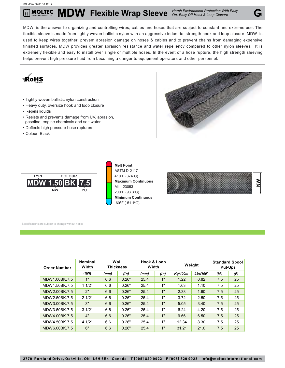#### SS MDW.00 00 10.12.12

# **MOLTEC MDW Flexible Wrap Sleeve** *Harsh Environment Protection With Easy On, Easy Off Hook & Loop Closure*



MDW is the answer to organizing and controlling wires, cables and hoses that are subject to constant and extreme use. The flexible sleeve is made from tightly woven ballistic nylon with an aggressive industrial strength hook and loop closure. MDW is used to keep wires together, prevent abrasion damage on hoses & cables and to prevent chains from damaging expensive finished surfaces. MDW provides greater abrasion resistance and water repellency compared to other nylon sleeves. It is extremely flexible and easy to install over single or multiple hoses. In the event of a hose rupture, the high strength sleeving helps prevent high pressure fluid from becoming a danger to equipment operators and other personnel.



- Tightly woven ballistic nylon construction
- Heavy duty, oversize hook and loop closure
- Repels liquids
- Resists and prevents damage from UV, abrasion, gasoline, engine chemicals and salt water
- Deflects high pressure hose ruptures
- Colour: Black





**Melt Point** ASTM D-2117 410ºF (374ºC) **Maximum Continuous** Mil-I-23053 200ºF (93.3ºC) **Minimum Continuous** -60ºF (-51.1ºC)



| <b>Order Number</b> | Nominal<br>Width | Wall<br><b>Thickness</b> |       | Hook & Loop<br>Width |      | Weight  |          | <b>Standard Spool</b><br><b>Put-Ups</b> |     |
|---------------------|------------------|--------------------------|-------|----------------------|------|---------|----------|-----------------------------------------|-----|
|                     | (NW)             | (mm)                     | (in)  | (mm)                 | (in) | Kg/100m | Lbs/100' | (M)                                     | (F) |
| MDW1.00BK.7.5       | 1"               | 6.6                      | 0.26" | 25.4                 | 1"   | 1.22    | 0.82     | 7.5                                     | 25  |
| MDW1.50BK.7.5       | 11/2"            | 6.6                      | 0.26" | 25.4                 | 1"   | 1.63    | 1.10     | 7.5                                     | 25  |
| MDW2.00BK.7.5       | 2"               | 6.6                      | 0.26" | 25.4                 | 1"   | 2.38    | 1.60     | 7.5                                     | 25  |
| MDW2.50BK.7.5       | 21/2"            | 6.6                      | 0.26" | 25.4                 | 1"   | 3.72    | 2.50     | 7.5                                     | 25  |
| MDW3.00BK.7.5       | 3"               | 6.6                      | 0.26" | 25.4                 | 1"   | 5.05    | 3.40     | 7.5                                     | 25  |
| MDW3.50BK.7.5       | 31/2"            | 6.6                      | 0.26" | 25.4                 | 1"   | 6.24    | 4.20     | 7.5                                     | 25  |
| MDW4.00BK.7.5       | 4"               | 6.6                      | 0.26" | 25.4                 | 1"   | 9.66    | 6.50     | 7.5                                     | 25  |
| MDW4.50BK.7.5       | 4 1/2"           | 6.6                      | 0.26" | 25.4                 | 1"   | 12.34   | 8.30     | 7.5                                     | 25  |
| MDW6.00BK.7.5       | 6"               | 6.6                      | 0.26" | 25.4                 | 1"   | 31.21   | 21.0     | 7.5                                     | 25  |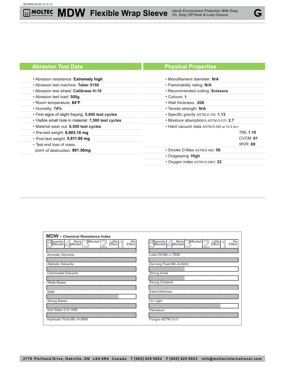$\overline{\mathbf{H}}$ 

# **MDW Flexible Wrap Sleeve** *Harsh Environment Protection With Easy On, Easy Off Hook & Loop Closure*



# **Abrasion Test Data Physical Properties**

| • Abrasion resistance: Extremely high               | • Monofilament diameter: N/A                |
|-----------------------------------------------------|---------------------------------------------|
| • Abrasion test machine: Taber 5150                 | • Flammability rating: N/A                  |
| • Abrasion test wheel: Calibrase H-18               | • Recommended cutting: Scissors             |
| • Abrasion test load: 500g                          | $\cdot$ Colours: 1                          |
| • Room temperature: 84°F                            | • Wall thickness: .026                      |
| $\cdot$ Humidity: 74%                               | • Tensile strength: N/A                     |
| . First signs of slight fraying: 5,000 test cycles  | • Specific gravity ASTM D-792: 1.13         |
| . Visible small hole in material: 7,500 test cycles | • Moisture absorption% ASTM D-570: 2.7      |
| . Material wear out: 8,500 test cycles              | • Hard vacuum data ASTM E-595 at 10-5 torr. |
| • Pre-test weight: 6,903.10 mg                      | <b>TML 1.10</b>                             |
| • Post-test weight: 5,911.80 mg                     | CVCM.01                                     |
| • Test end loss of mass                             | <b>WVR.69</b>                               |
| point of destruction: 991.30mg                      | $\cdot$ Smoke D-Max $ASTME-662$ : 56        |
|                                                     | • Outgassing: High                          |
|                                                     | • Oxygen index ASTM D-2863: 22              |

| <b>MDW</b> - Chemical Resistance Index                                                   |                                                                                          |
|------------------------------------------------------------------------------------------|------------------------------------------------------------------------------------------|
| Affected<br>Little<br>Effect<br>More<br>Affected<br>No<br>Effect<br>Severely<br>Affected | Affected<br>More<br>Severely<br>Little<br>Effect<br>No<br>Affected<br>Effect<br>Affected |
| <b>Aromatic Solvents</b>                                                                 | Lube Oil MIL-L-7808                                                                      |
| <b>Aliphatic Solvents</b>                                                                | De-Icing Fluid MIL-A-8243                                                                |
| <b>Chlorinated Solvents</b>                                                              | <b>Strong Acids</b>                                                                      |
| <b>Weak Bases</b>                                                                        | <b>Strong Oxidants</b>                                                                   |
| <b>Salts</b>                                                                             | Esters/Ketones                                                                           |
| <b>Strong Bases</b>                                                                      | <b>UV Light</b>                                                                          |
| Salt Water 0-S-1926                                                                      | Petroleum                                                                                |
| Hydraulic Fluid MIL-H-5606                                                               | Fungus ASTM G-21                                                                         |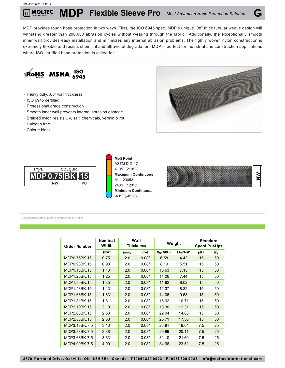MDP provides tough hose protection in two ways. First, the ISO 6945 spec, MDP's unique .08" thick tubular weave design will withstand greater than 200,000 abrasion cycles without wearing through the fabric. Additionally, the exceptionally smooth inner wall provides easy installation and minimizes any internal abrasion problems. The tightly woven nylon construction is extremely flexible and resists chemical and ultraviolet degradation. MDP is perfect for industrial and construction applications where ISO certified hose protection is called for.



- Heavy duty, .08" wall thickness
- ISO 6945 certified
- Professional grade construction
- Smooth inner wall prevents internal abrasion damage
- Braided nylon resists UV, salt, chemicals, vermin & rot
- Halogen free
- Colour: black





**Melt Point** ASTM D-2117 410°F (210°C) **Maximum Continuous** Mil-I-23053 248°F (120°C) **Minimum Continuous** -49°F (-45°C)

|        | $\sim$<br>> |
|--------|-------------|
| m<br>- |             |

| <b>Order Number</b> | <b>Nominal</b><br>Width | Wall<br><b>Standard</b><br>Weight<br><b>Thickness</b><br><b>Spool Put-Ups</b> |       |                |          |     |     |
|---------------------|-------------------------|-------------------------------------------------------------------------------|-------|----------------|----------|-----|-----|
|                     | (NW)                    | (mm)                                                                          | (in)  | <b>Kg/100m</b> | Lbs/100' | (M) | (F) |
| MDP0.75BK.15        | 0.75"                   | 2.0                                                                           | 0.08" | 6.58           | 4.43     | 15  | 50  |
| MDP0.93BK.15        | 0.93"                   | 2.0                                                                           | 0.08" | 8.19           | 5.51     | 15  | 50  |
| MDP1.13BK.15        | 1.13"                   | 2.0                                                                           | 0.08" | 10.63          | 7.15     | 15  | 50  |
| MDP1.25BK.15        | 1.25"                   | 2.0                                                                           | 0.08" | 11.06          | 7.44     | 15  | 50  |
| MDP1.35BK.15        | 1.35"                   | 2.0                                                                           | 0.08" | 11.92          | 8.02     | 15  | 50  |
| MDP1.43BK.15        | 1.43"                   | 2.0                                                                           | 0.08" | 12.37          | 8.32     | 15  | 50  |
| MDP1.63BK.15        | 1.63"                   | 2.0                                                                           | 0.08" | 14.06          | 9.53     | 15  | 50  |
| MDP1.81BK.15        | 1.81"                   | 2.0                                                                           | 0.08" | 15.92          | 10.71    | 15  | 50  |
| MDP2.19BK.15        | 2.19"                   | 2.0                                                                           | 0.08" | 18.30          | 12.31    | 15  | 50  |
| MDP2.63BK.15        | 2.63"                   | 2.0                                                                           | 0.08" | 22.04          | 14.83    | 15  | 50  |
| MDP2.88BK.15        | 2.88"                   | 2.0                                                                           | 0.08" | 25.71          | 17.30    | 15  | 50  |
| MDP3.13BK.7.5       | 3.13"                   | 2.0                                                                           | 0.08" | 26.81          | 18.04    | 7.5 | 25  |
| MDP3.38BK.7.5       | 3.38"                   | 2.0                                                                           | 0.08" | 29.89          | 20.11    | 7.5 | 25  |
| MDP3.63BK.7.5       | 3.63"                   | 2.0                                                                           | 0.08" | 32.10          | 21.60    | 7.5 | 25  |
| MDP4.00BK.7.5       | 4.00"                   | 2.0                                                                           | 0.08" | 34.96          | 23.52    | 7.5 | 25  |

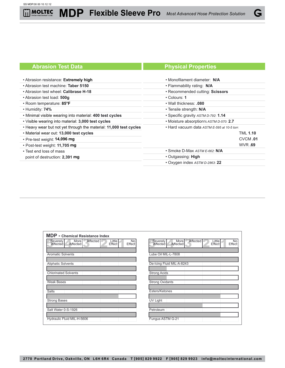liil

# **Abrasion Test Data Physical Properties**

G

| • Abrasion resistance: Extremely high                             | • Monofilament diameter: N/A                |  |  |
|-------------------------------------------------------------------|---------------------------------------------|--|--|
| • Abrasion test machine: Taber 5150                               | • Flammability rating: N/A                  |  |  |
| • Abrasion test wheel: Calibrase H-18                             | • Recommended cutting: Scissors             |  |  |
| • Abrasion test load: 500g                                        | $\cdot$ Colours: 1                          |  |  |
| • Room temperature: 85°F                                          | • Wall thickness: .080                      |  |  |
| $\cdot$ Humidity: 74%                                             | • Tensile strength: N/A                     |  |  |
| . Minimal visible wearing into material: 400 test cycles          | • Specific gravity ASTM D-792: 1.14         |  |  |
| . Visible wearing into material: 3,000 test cycles                | • Moisture absorption% ASTM D-570: 2.7      |  |  |
| . Heavy wear but not yet through the material: 11,000 test cycles | • Hard vacuum data ASTM E-595 at 10-5 torr. |  |  |
| . Material wear out: 13,000 test cycles                           | <b>TML 1.10</b>                             |  |  |
| $\cdot$ Pre-test weight: 14,096 mg                                | CVCM.01                                     |  |  |
| • Post-test weight: 11,705 mg                                     | <b>WVR.69</b>                               |  |  |
| • Test end loss of mass                                           | • Smoke D-Max ASTM E-662: N/A               |  |  |
| point of destruction: 2,391 mg                                    | • Outgassing: High                          |  |  |
|                                                                   | • Oxygen index ASTM D-2863: 22              |  |  |

| <b>MDP</b> - Chemical Resistance Index                                                   |                                                                                                 |
|------------------------------------------------------------------------------------------|-------------------------------------------------------------------------------------------------|
| Affected<br>Little<br>More<br>No<br>Severely<br>Effect<br>Affected<br>Affected<br>Effect | Affected<br>More<br>Little<br>No<br>Severely<br>Affected<br><b>Affected</b><br>Effect<br>Effect |
| <b>Aromatic Solvents</b>                                                                 | Lube Oil MIL-L-7808                                                                             |
| <b>Aliphatic Solvents</b>                                                                | De-Icing Fluid MIL-A-8243                                                                       |
| <b>Chlorinated Solvents</b>                                                              | <b>Strong Acids</b>                                                                             |
| <b>Weak Bases</b>                                                                        | <b>Strong Oxidants</b>                                                                          |
| <b>Salts</b>                                                                             | Esters/Ketones                                                                                  |
| <b>Strong Bases</b>                                                                      | <b>UV Light</b>                                                                                 |
| Salt Water 0-S-1926                                                                      | Petroleum                                                                                       |
| Hydraulic Fluid MIL-H-5606                                                               | Fungus ASTM G-21                                                                                |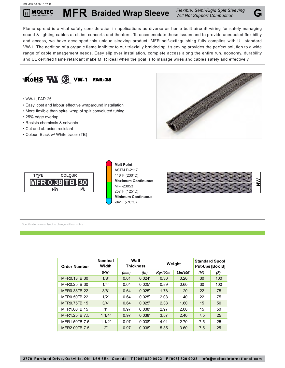### SS MFR.00 00 10.12.12

**MFR** *Flexible, Semi-Rigid Split Sleeving* **Braided Wrap Sleeve** *Will Not Support Combustion* **MOLTEC** 

Flame spread is a vital safety consideration in applications as diverse as home built aircraft wiring for safely managing sound & lighting cables at clubs, concerts and theaters. To accommodate these issues and to provide unequaled flexibility and access, we have developed this unique sleeving product. MFR self-extinguishing fully complies with UL standard VW-1. The addition of a organic flame inhibitor to our triaxially braided split sleeving provides the perfect solution to a wide range of cable management needs. Easy slip over installation, complete access along the entire run, economy, durability and UL certified flame retardant make MFR ideal when the goal is to manage wires and cables safely and effectively.



- VW-1, FAR 25
- Easy, cost and labour effective wraparound installation
- More flexible than spiral wrap of split convoluted tubing
- 25% edge overlap
- Resists chemicals & solvents
- Cut and abrasion resistant
- Colour: Black w/ White tracer (TB)





**Melt Point** ASTM D-2117 446°F (230°C) **Maximum Continuous** Mil-I-23053 257°F (125°C) **Minimum Continuous** -94°F (-70°C)



| <b>Order Number</b> | <b>Nominal</b><br>Width | Wall<br><b>Thickness</b> |        |                | Weight   | <b>Standard Spool</b><br>Put-Ups [Box B] |     |
|---------------------|-------------------------|--------------------------|--------|----------------|----------|------------------------------------------|-----|
|                     | (NW)                    | (mm)                     | (in)   | <b>Kg/100m</b> | Lbs/100' | (M)                                      | (F) |
| MFR0.13TB.30        | 1/8"                    | 0.61                     | 0.024" | 0.30           | 0.20     | 30                                       | 100 |
| MFR0.25TB.30        | 1/4"                    | 0.64                     | 0.025" | 0.89           | 0.60     | 30                                       | 100 |
| MFR0.38TB.22        | 3/8"                    | 0.64                     | 0.025" | 1.78           | 1.20     | 22                                       | 75  |
| MFR0.50TB.22        | 1/2"                    | 0.64                     | 0.025" | 2.08           | 1.40     | 22                                       | 75  |
| MFR0.75TB.15        | 3/4"                    | 0.64                     | 0.025" | 2.38           | 1.60     | 15                                       | 50  |
| MFR1.00TB.15        | 1"                      | 0.97                     | 0.038" | 2.97           | 2.00     | 15                                       | 50  |
| MFR1.25TB.7.5       | 11/4"                   | 0.97                     | 0.038" | 3.57           | 2.40     | 7.5                                      | 25  |
| MFR1.50TB.7.5       | 11/2"                   | 0.97                     | 0.038" | 4.01           | 2.70     | 7.5                                      | 25  |
| MFR2.00TB.7.5       | 2"                      | 0.97                     | 0.038" | 5.35           | 3.60     | 7.5                                      | 25  |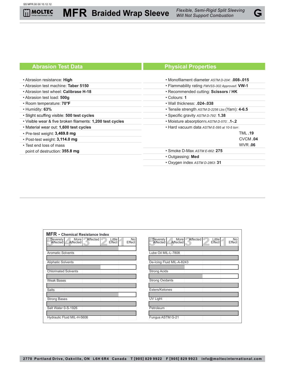**MFR** *Flexible, Semi-Rigid Split Sleeving* **Braided Wrap Sleeve** *Will Not Support Combustion*



# **Abrasion Test Data Physical Properties**

| • Abrasion resistance: High                               | • Monofilament diameter ASTM D-204: .008-.015    |  |  |
|-----------------------------------------------------------|--------------------------------------------------|--|--|
| • Abrasion test machine: Taber 5150                       | • Flammability rating FMVSS-302 Approved: VW-1   |  |  |
| • Abrasion test wheel: Calibrase H-18                     | • Recommended cutting: Scissors / HK             |  |  |
| • Abrasion test load: 500g                                | • Colours: 1                                     |  |  |
| • Room temperature: 70°F                                  | • Wall thickness: .024-.038                      |  |  |
| $\cdot$ Humidity: 63%                                     | • Tensile strength ASTM D-2256 Lbs (Yarn): 4-6.5 |  |  |
| • Slight scuffing visible: 500 test cycles                | • Specific gravity ASTM D-792: 1.38              |  |  |
| . Visible wear & five broken filaments: 1,200 test cycles | • Moisture absorption% ASTM D-570: .1-.2         |  |  |
| • Material wear out: 1,600 test cycles                    | • Hard vacuum data ASTM E-595 at 10-5 torr:      |  |  |
| $\cdot$ Pre-test weight: 3,469.8 mg                       | <b>TML.19</b>                                    |  |  |
| $\cdot$ Post-test weight: 3,114.0 mg                      | CVCM.04                                          |  |  |
| • Test end loss of mass                                   | <b>WVR.06</b>                                    |  |  |
| point of destruction: 355.8 mg                            | • Smoke D-Max ASTM E-662: 275                    |  |  |
|                                                           | • Outgassing: Med                                |  |  |
|                                                           | • Oxygen index ASTM D-2863: 31                   |  |  |
|                                                           |                                                  |  |  |

| <b>MFR</b> - Chemical Resistance Index                                                          |                                                                                            |
|-------------------------------------------------------------------------------------------------|--------------------------------------------------------------------------------------------|
| Affected<br>More<br><b>Little</b><br>No<br>Severely<br>Affected<br>Affected<br>Effect<br>Effect | Affected<br>More<br>Little<br>Severely<br>No<br>Affected  <br>Affected<br>Effect<br>Effect |
| <b>Aromatic Solvents</b>                                                                        | Lube Oil MIL-L-7808                                                                        |
|                                                                                                 |                                                                                            |
| <b>Aliphatic Solvents</b>                                                                       | De-Icing Fluid MIL-A-8243                                                                  |
| <b>Chlorinated Solvents</b>                                                                     | <b>Strong Acids</b>                                                                        |
| <b>Weak Bases</b>                                                                               | <b>Strong Oxidants</b>                                                                     |
| <b>Salts</b>                                                                                    | Esters/Ketones                                                                             |
| <b>Strong Bases</b>                                                                             | UV Light                                                                                   |
| Salt Water 0-S-1926                                                                             | Petroleum                                                                                  |
| Hydraulic Fluid MIL-H-5606                                                                      | Fungus ASTM G-21                                                                           |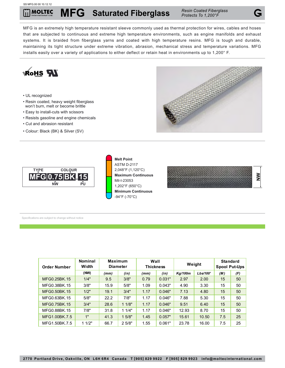#### SS MFG.00 00 10.12.12

## **MFG** *Resin Coated Fiberglass* **Saturated Fiberglass** *Protects To 1,200°F* **MOLTEC**

MFG is an extremely high temperature resistant sleeve commonly used as thermal protection for wires, cables and hoses that are subjected to continuous and extreme high temperature environments, such as engine manifolds and exhaust systems. It is braided from fiberglass yarns and coated with high temperature resins. MFG is tough and durable, maintaining its tight structure under extreme vibration, abrasion, mechanical stress and temperature variations. MFG installs easily over a variety of applications to either deflect or retain heat in environments up to 1,200° F.



| <b>Order Number</b> | Width |      | <b>Diameter</b> |      | Weight<br><b>Thickness</b> |         | <b>Spool Put-Ups</b> |     |     |
|---------------------|-------|------|-----------------|------|----------------------------|---------|----------------------|-----|-----|
|                     | (NW)  | (mm) | (in)            | (mm) | (in)                       | Kg/100m | Lbs/100'             | (M) | (F) |
| MFG0.25BK.15        | 1/4"  | 9.5  | 3/8"            | 0.79 | 0.031"                     | 2.97    | 2.00                 | 15  | 50  |
| MFG0.38BK.15        | 3/8"  | 15.9 | 5/8"            | 1.09 | 0.043"                     | 4.90    | 3.30                 | 15  | 50  |
| MFG0.50BK.15        | 1/2"  | 19.1 | 3/4"            | 1.17 | 0.046"                     | 7.13    | 4.80                 | 15  | 50  |
| MFG0.63BK.15        | 5/8"  | 22.2 | 7/8"            | 1.17 | 0.046"                     | 7.88    | 5.30                 | 15  | 50  |
| MFG0.75BK.15        | 3/4"  | 28.6 | 11/8"           | 1.17 | 0.046"                     | 9.51    | 6.40                 | 15  | 50  |
| MFG0.88BK.15        | 7/8"  | 31.8 | 11/4"           | 1.17 | 0.046"                     | 12.93   | 8.70                 | 15  | 50  |
| MFG1.00BK.7.5       | 1"    | 41.3 | 15/8"           | 1.45 | 0.057"                     | 15.61   | 10.50                | 7.5 | 25  |
| MFG1.50BK.7.5       | 11/2" | 66.7 | 25/8"           | 1.55 | 0.061"                     | 23.78   | 16.00                | 7.5 | 25  |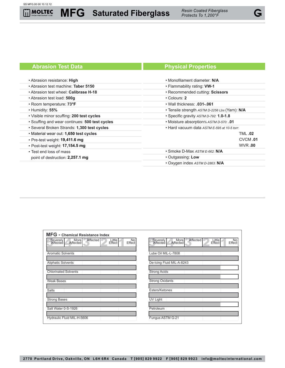# **MFG** *Resin Coated Fiberglass* **Saturated Fiberglass** *Protects To 1,200°F*

# **Abrasion Test Data Physical Properties**

#### • Abrasion resistance: **High** • Abrasion test machine: **Taber 5150** • Abrasion test wheel: **Calibrase H-18** • Abrasion test load: **500g** • Room temperature: **73 °F** • Humidity: **55%** • Visible minor scuffing: **200 test cycles** • Scuffing and wear continues: **500 test cycles** • Several Broken Strands: **1,300 test cycles**   $\cdot$  Material wear out: **1,650 test cycles** • Pre-test weight: **19,411.6 mg** • Post-test weight: **17,154.5 mg** • Test end loss of mass point of destruction: **2,257.1 mg**  $\overline{a}$ • Monofilament diameter: **N/A** • Flammability rating: **VW-1** • Recommended cutting: **Scissors** • Colours: **2** • Wall thickness: **.031-.061** • Tensile strength *ASTM D-2256 Lbs* (Yarn): **N/A** • Specific gravity *ASTM D-792*: **1.0-1.8** • Moisture absorption*% ASTM D-570*: **.01** • Hard vacuum data *ASTM E-595 at 10-5 torr*: TML **.02** CVCM **.01** WVR **.00** • Smoke D-Max *ASTM E-662*: **N/A** • Outgassing: **Low** • Oxygen index *ASTM D-2863*: **N/A**

| <b>MFG</b> - Chemical Resistance Index                                                   |                                                                                                 |
|------------------------------------------------------------------------------------------|-------------------------------------------------------------------------------------------------|
| Affected<br>More<br>Affected<br>Little<br>No<br>Severely<br>Affected<br>Effect<br>Effect | Affected<br>More<br>Little<br>Severely<br>No<br>Affected<br><b>Affected</b><br>Effect<br>Effect |
| <b>Aromatic Solvents</b>                                                                 | Lube Oil MIL-L-7808                                                                             |
|                                                                                          |                                                                                                 |
| <b>Aliphatic Solvents</b>                                                                | De-Icing Fluid MIL-A-8243                                                                       |
| <b>Chlorinated Solvents</b>                                                              | <b>Strong Acids</b>                                                                             |
| <b>Weak Bases</b>                                                                        | <b>Strong Oxidants</b>                                                                          |
| <b>Salts</b>                                                                             | Esters/Ketones                                                                                  |
| <b>Strong Bases</b>                                                                      | UV Light                                                                                        |
| Salt Water 0-S-1926                                                                      | Petroleum                                                                                       |
| Hydraulic Fluid MIL-H-5606                                                               | Fungus ASTM G-21                                                                                |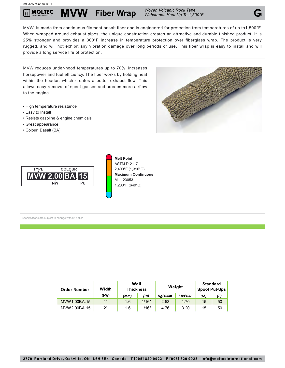**MVW** Fiber Wrap *Woven Volcanic Rock Tape* **Multipler** 

MVW is made from continuous filament basalt fiber and is engineered for protection from temperatures of up to1,500°F. When wrapped around exhaust pipes, the unique construction creates an attractive and durable finished product. It is 25% stronger and provides a 300°F increase in temperature protection over fiberglass wrap. The product is very rugged, and will not exhibit any vibration damage over long periods of use. This fiber wrap is easy to install and will provide a long service life of protection.

MVW reduces under-hood temperatures up to 70%, increases horsepower and fuel efficiency. The fiber works by holding heat within the header, which creates a better exhaust flow. This allows easy removal of spent gasses and creates more airflow to the engine.

- High temperature resistance
- Easy to Install
- Resists gasoline & engine chemicals
- Great appearance
- Colour: Basalt (BA)





**Melt Point** ASTM D-2117 2,400°F (1,316°C) **Maximum Continuous** Mil-I-23053 1,200°F (649°C)

| <b>Order Number</b> | Width | Wall<br><b>Thickness</b> |       | Weight              |      | <b>Standard</b><br><b>Spool Put-Ups</b> |     |
|---------------------|-------|--------------------------|-------|---------------------|------|-----------------------------------------|-----|
|                     | (NW)  | (mm)                     | (in)  | Lbs/100'<br>Kg/100m |      | (M)                                     | (F) |
| MVW1.00BA.15        | 1"    | 1.6                      | 1/16" | 2.53                | 1.70 | 15                                      | 50  |
| MVW2.00BA.15        | ייפ   | 1.6                      | 1/16" | 4.76                | 3.20 | 15                                      | 50  |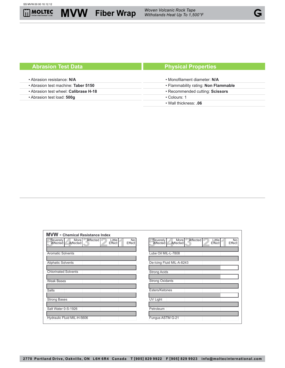

**MVW** *Woven Volcanic Rock Tape* **Fiber Wrap** *Withstands Heat Up To 1,500°F*

# **Abrasion Test Data Physical Properties**

#### • Abrasion resistance: **N/A** • Abrasion test machine: **Taber 5150** • Abrasion test wheel: **Calibrase H-18** • Abrasion test load: **500g** • Monofilament diameter: **N/A** • Flammability rating: **Non Flammable** • Recommended cutting: **Scissors** • Colours: 1 • Wall thickness: **.06**

| <b>MVW</b> - Chemical Resistance Index                                                            |                                                                                                          |
|---------------------------------------------------------------------------------------------------|----------------------------------------------------------------------------------------------------------|
| Affected  <br>Little<br>More<br><b>No</b><br>Severely<br>Affected<br>Effect<br>Effect<br>Affected | <b>Affected</b><br><b>More</b><br>Little<br>No<br>Severely<br>Effect<br>Affected I<br>Affected<br>Effect |
| <b>Aromatic Solvents</b>                                                                          | Lube Oil MIL-L-7808                                                                                      |
| <b>Aliphatic Solvents</b>                                                                         | De-Icing Fluid MIL-A-8243                                                                                |
| <b>Chlorinated Solvents</b>                                                                       | <b>Strong Acids</b>                                                                                      |
| <b>Weak Bases</b>                                                                                 | <b>Strong Oxidants</b>                                                                                   |
| <b>Salts</b>                                                                                      | Esters/Ketones                                                                                           |
| <b>Strong Bases</b>                                                                               | <b>UV Light</b>                                                                                          |
| Salt Water 0-S-1926                                                                               | Petroleum                                                                                                |
| Hydraulic Fluid MIL-H-5606                                                                        | Fungus ASTM G-21                                                                                         |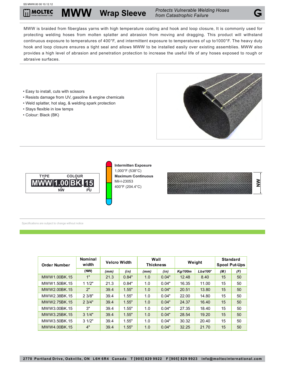#### SS MWW.00 00 10.12.12

**MOLTEC** 

MWW is braided from fiberglass yarns with high temperature coating and hook and loop closure, It is commonly used for protecting welding hoses from molten splatter and abrasion from moving and dragging. This product will withstand continuous exposure to temperatures of 400°F, and intermittent exposure to temperatures of up to1000°F. The heavy duty hook and loop closure ensures a tight seal and allows MWW to be installed easily over existing assemblies. MWW also provides a high level of abrasion and penetration protection to increase the useful life of any hoses exposed to rough or abrasive surfaces.

- Easy to install, cuts with scissors
- Resists damage from UV, gasoline & engine chemicals
- Weld splatter, hot slag, & welding spark protection
- Stays flexible in low temps
- Colour: Black (BK)





**Intermitten Exposure** 1,000°F (538°C) **Maximum Continuous**



| <b>Order Number</b> | Nominal<br>width | <b>Velcro Width</b> |       | Wall<br><b>Thickness</b> |       | Weight         |          | <b>Standard</b><br><b>Spool Put-Ups</b> |     |
|---------------------|------------------|---------------------|-------|--------------------------|-------|----------------|----------|-----------------------------------------|-----|
|                     | (NW)             | (mm)                | (in)  | (mm)                     | (in)  | <b>Kg/100m</b> | Lbs/100' | (M)                                     | (F) |
| MWW1.00BK.15        | 1"               | 21.3                | 0.84" | 1.0                      | 0.04" | 12.48          | 8.40     | 15                                      | 50  |
| MWW1.50BK.15        | 11/2"            | 21.3                | 0.84" | 1.0                      | 0.04" | 16.35          | 11.00    | 15                                      | 50  |
| MWW2.00BK.15        | 2"               | 39.4                | 1.55" | 1.0                      | 0.04" | 20.51          | 13.80    | 15                                      | 50  |
| MWW2.38BK.15        | 23/8"            | 39.4                | 1.55" | 1.0                      | 0.04" | 22.00          | 14.80    | 15                                      | 50  |
| MWW2.75BK.15        | 23/4"            | 39.4                | 1.55" | 1.0                      | 0.04" | 24.37          | 16.40    | 15                                      | 50  |
| MWW3.00BK.15        | 3"               | 39.4                | 1.55" | 1.0                      | 0.04" | 27.35          | 18.40    | 15                                      | 50  |
| MWW3.25BK.15        | $3 \frac{1}{4}$  | 39.4                | 1.55" | 1.0                      | 0.04" | 28.54          | 19.20    | 15                                      | 50  |
| MWW3.50BK.15        | 31/2"            | 39.4                | 1.55" | 1.0                      | 0.04" | 30.32          | 20.40    | 15                                      | 50  |
| MWW4.00BK.15        | 4"               | 39.4                | 1.55" | 1.0                      | 0.04" | 32.25          | 21.70    | 15                                      | 50  |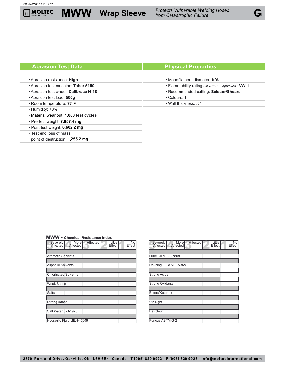

l

• Abrasion resistance: **High** • Abrasion test machine: **Taber 5150** • Abrasion test wheel: **Calibrase H-18** • Abrasion test load: **500g** • Room temperature: **77 °F** • Humidity: **70%**  $\cdot$  Material wear out: **1,060** test cycles • Pre-test weight: **7,857.4 mg** • Post-test weight: **6,602.2 mg** • Test end loss of mass point of destruction: **1,255.2 mg** • Monofilament diameter: **N/A** • Flammability rating *FMVSS-302 Approved* : **VW-1** • Recommended cutting: **Scissor/Shears** • Colours: **1** • Wall thickness: **.04**

| <b>MWW</b> - Chemical Resistance Index                                                          |                                                                                            |
|-------------------------------------------------------------------------------------------------|--------------------------------------------------------------------------------------------|
| Little<br>No<br>Affected<br>Severely<br><b>More</b><br>Affected<br>Affected<br>Effect<br>Effect | Affected<br>More<br>Little<br>No<br>Severely<br>Affected<br>Affected I<br>Effect<br>Effect |
| <b>Aromatic Solvents</b>                                                                        | Lube Oil MIL-L-7808                                                                        |
| <b>Aliphatic Solvents</b>                                                                       | De-Icing Fluid MIL-A-8243                                                                  |
| <b>Chlorinated Solvents</b>                                                                     | <b>Strong Acids</b>                                                                        |
| <b>Weak Bases</b>                                                                               | <b>Strong Oxidants</b>                                                                     |
| <b>Salts</b>                                                                                    | Esters/Ketones                                                                             |
| <b>Strong Bases</b>                                                                             | UV Light                                                                                   |
| Salt Water 0-S-1926                                                                             | Petroleum                                                                                  |
| Hydraulic Fluid MIL-H-5606                                                                      | Fungus ASTM G-21                                                                           |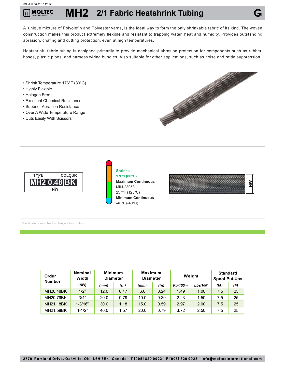#### SS MH2.00 00 10.12.12

## **MH2 2/1 Fabric Heatshrink Tubing MOLTEC**

A unique mixture of Polyolefin and Polyester yarns, is the ideal way to form the only shrinkable fabric of its kind. The woven construction makes this product extremely flexible and resistant to trapping water, heat and humidity. Provides outstanding abrasion, chafing and cutting protection, even at high temperatures.

Heatshrink fabric tubing is designed primarily to provide mechanical abrasion protection for components such as rubber hoses, plastic pipes, and harness wiring bundles. Also suitable for other applications, such as noise and rattle suppression.

- Shrink Temperature 176°F (80°C)
- Highly Flexible
- Halogen Free
- Excellent Chemical Resistance
- Superior Abrasion Resistance
- Over A Wide Temperature Range
- Cuts Easily With Scissors









| Order<br><b>Number</b> | <b>Nominal</b><br>Width | <b>Minimum</b><br><b>Diameter</b> |      | <b>Maximum</b><br><b>Diameter</b> |      | Weight  |          | <b>Standard</b><br><b>Spool Put-Ups</b> |     |
|------------------------|-------------------------|-----------------------------------|------|-----------------------------------|------|---------|----------|-----------------------------------------|-----|
|                        | (NW)                    | (mm)                              | (in) | (mm)                              | (in) | Kg/100m | Lbs/100' | (M)                                     | (F) |
| MH20.48BK              | 1/2"                    | 12.0                              | 0.47 | 6.0                               | 0.24 | 1.49    | 1.00     | 7.5                                     | 25  |
| MH20.79BK              | 3/4"                    | 20.0                              | 0.79 | 10.0                              | 0.39 | 2.23    | 1.50     | 7.5                                     | 25  |
| MH21.18BK              | $1 - 3/16"$             | 30.0                              | 1.18 | 15.0                              | 0.59 | 2.97    | 2.00     | 7.5                                     | 25  |
| MH21.58BK              | $1 - 1/2"$              | 40.0                              | 1.57 | 20.0                              | 0.79 | 3.72    | 2.50     | 7.5                                     | 25  |